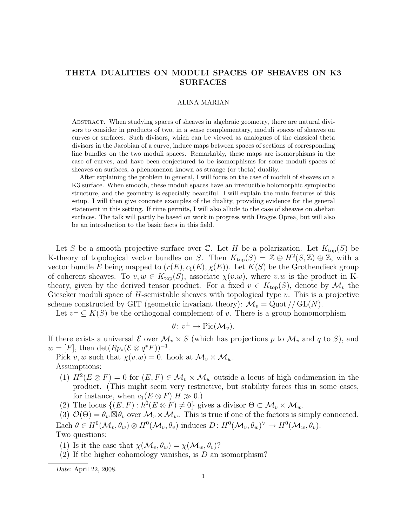## THETA DUALITIES ON MODULI SPACES OF SHEAVES ON K3 SURFACES

## ALINA MARIAN

Abstract. When studying spaces of sheaves in algebraic geometry, there are natural divisors to consider in products of two, in a sense complementary, moduli spaces of sheaves on curves or surfaces. Such divisors, which can be viewed as analogues of the classical theta divisors in the Jacobian of a curve, induce maps between spaces of sections of corresponding line bundles on the two moduli spaces. Remarkably, these maps are isomorphisms in the case of curves, and have been conjectured to be isomorphisms for some moduli spaces of sheaves on surfaces, a phenomenon known as strange (or theta) duality.

After explaining the problem in general, I will focus on the case of moduli of sheaves on a K3 surface. When smooth, these moduli spaces have an irreducible holomorphic symplectic structure, and the geometry is especially beautiful. I will explain the main features of this setup. I will then give concrete examples of the duality, providing evidence for the general statement in this setting. If time permits, I will also allude to the case of sheaves on abelian surfaces. The talk will partly be based on work in progress with Dragos Oprea, but will also be an introduction to the basic facts in this field.

Let S be a smooth projective surface over  $\mathbb C$ . Let H be a polarization. Let  $K_{top}(S)$  be K-theory of topological vector bundles on S. Then  $K_{top}(S) = \mathbb{Z} \oplus H^2(S, \mathbb{Z}) \oplus \mathbb{Z}$ , with a vector bundle E being mapped to  $(r(E), c_1(E), \chi(E))$ . Let  $K(S)$  be the Grothendieck group of coherent sheaves. To  $v, w \in K_{top}(S)$ , associate  $\chi(v.w)$ , where v.w is the product in Ktheory, given by the derived tensor product. For a fixed  $v \in K_{\text{top}}(S)$ , denote by  $\mathcal{M}_v$  the Gieseker moduli space of  $H$ -semistable sheaves with topological type  $v$ . This is a projective scheme constructed by GIT (geometric invariant theory):  $\mathcal{M}_v = \text{Quot} / \text{GL}(N)$ .

Let  $v^{\perp} \subseteq K(S)$  be the orthogonal complement of v. There is a group homomorphism

$$
\theta\colon v^\perp\to \mathrm{Pic}(\mathcal{M}_v).
$$

If there exists a universal  $\mathcal E$  over  $\mathcal M_v \times S$  (which has projections p to  $\mathcal M_v$  and q to S), and  $w = [F]$ , then  $\det(Rp_*(\mathcal{E} \otimes q^*F))^{-1}$ .

Pick v, w such that  $\chi(v.w) = 0$ . Look at  $\mathcal{M}_v \times \mathcal{M}_w$ . Assumptions:

- (1)  $H^2(E \otimes F) = 0$  for  $(E, F) \in \mathcal{M}_v \times \mathcal{M}_w$  outside a locus of high codimension in the product. (This might seem very restrictive, but stability forces this in some cases, for instance, when  $c_1(E \otimes F)$ .  $H \gg 0$ .)
- (2) The locus  $\{(E, F) : h^0(E \otimes F) \neq 0\}$  gives a divisor  $\Theta \subset \mathcal{M}_v \times \mathcal{M}_w$ .

(3)  $\mathcal{O}(\Theta) = \theta_w \boxtimes \theta_v$  over  $\mathcal{M}_v \times \mathcal{M}_w$ . This is true if one of the factors is simply connected. Each  $\theta \in H^0(\mathcal{M}_v, \theta_w) \otimes H^0(\mathcal{M}_v, \theta_v)$  induces  $D: H^0(\mathcal{M}_v, \theta_w)^\vee \to H^0(\mathcal{M}_w, \theta_v)$ . Two questions:

(1) Is it the case that  $\chi(M_v, \theta_w) = \chi(M_w, \theta_v)$ ?

(2) If the higher cohomology vanishes, is  $D$  an isomorphism?

Date: April 22, 2008.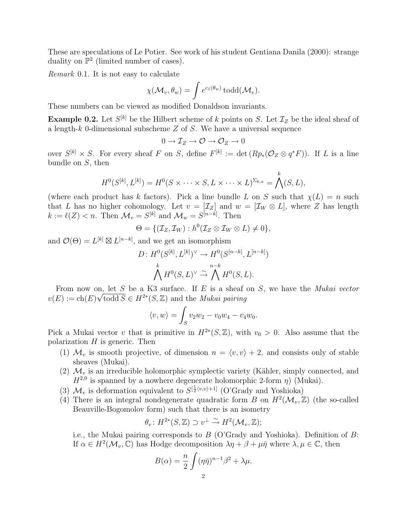These are speculations of Le Potier. See work of his student Gentiana Danila (2000): strange duality on  $\mathbb{P}^2$  (limited number of cases).

Remark 0.1. It is not easy to calculate

$$
\chi(\mathcal{M}_v, \theta_w) = \int e^{c_1(\theta_w)} \operatorname{todd}(\mathcal{M}_v).
$$

These numbers can be viewed as modified Donaldson invariants.

**Example 0.2.** Let  $S^{[k]}$  be the Hilbert scheme of k points on S. Let  $\mathcal{I}_Z$  be the ideal sheaf of a length- $k$  0-dimensional subscheme  $Z$  of  $S$ . We have a universal sequence

$$
0\to \mathcal{I}_Z\to \mathcal{O}\to \mathcal{O}_Z\to 0
$$

over  $S^{[k]} \times S$ . For every sheaf F on S, define  $F^{[k]} := \det (Rp_*(\mathcal{O}_Z \otimes q^*F))$ . If L is a line bundle on S, then

$$
H^0(S^{[k]}, L^{[k]}) = H^0(S \times \cdots \times S, L \times \cdots \times L)^{\Sigma_{k,a}} = \bigwedge^k(S, L),
$$

(where each product has k factors). Pick a line bundle L on S such that  $\chi(L) = n$  such that L has no higher cohomology. Let  $v = [\mathcal{I}_Z]$  and  $w = [\mathcal{I}_W \otimes L]$ , where Z has length  $k := \ell(Z) < n$ . Then  $\mathcal{M}_v = S^{[k]}$  and  $\mathcal{M}_w = S^{[n-k]}$ . Then

$$
\Theta = \{ (\mathcal{I}_Z, \mathcal{I}_W) : h^0(\mathcal{I}_Z \otimes \mathcal{I}_W \otimes L) \neq 0 \},\
$$

and  $\mathcal{O}(\Theta) = L^{[k]} \boxtimes L^{[n-k]}$ , and we get an isomorphism

$$
D: H^{0}(S^{[k]}, L^{[k]})^{\vee} \to H^{0}(S^{[n-k]}, L^{[n-k]})
$$
  

$$
\bigwedge^{k} H^{0}(S, L)^{\vee} \xrightarrow{\sim} \bigwedge^{n-k} H^{0}(S, L).
$$

From now on, let S be a K3 surface. If E is a sheaf on S, we have the *Mukai vector*  $v(E) := ch(E)\sqrt{\text{todd}\,S} \in H^{2*}(S, \mathbb{Z})$  and the *Mukai pairing* 

$$
\langle v, w \rangle = \int_S v_2 w_2 - v_0 w_4 - v_4 w_0.
$$

Pick a Mukai vector v that is primitive in  $H^{2*}(S,\mathbb{Z})$ , with  $v_0 > 0$ . Also assume that the polarization  $H$  is generic. Then

- (1)  $\mathcal{M}_v$  is smooth projective, of dimension  $n = \langle v, v \rangle + 2$ , and consists only of stable sheaves (Mukai).
- (2)  $\mathcal{M}_v$  is an irreducible holomorphic symplectic variety (Kähler, simply connected, and  $H^{2,0}$  is spanned by a nowhere degenerate holomorphic 2-form  $\eta$ ) (Mukai).
- (3)  $\mathcal{M}_v$  is deformation equivalent to  $S^{[\frac{1}{2}\langle v,v\rangle+1]}$  (O'Grady and Yoshioka)
- (4) There is an integral nondegenerate quadratic form B on  $H^2(\mathcal{M}_v, \mathbb{Z})$  (the so-called Beauville-Bogomolov form) such that there is an isometry

$$
\theta_v \colon H^{2*}(S, \mathbb{Z}) \supset v^{\perp} \stackrel{\sim}{\to} H^2(\mathcal{M}_v, \mathbb{Z});
$$

i.e., the Mukai pairing corresponds to  $B$  (O'Grady and Yoshioka). Definition of  $B$ : If  $\alpha \in H^2(\mathcal{M}_v, \mathbb{C})$  has Hodge decomposition  $\lambda \eta + \beta + \mu \bar{\eta}$  where  $\lambda, \mu \in \mathbb{C}$ , then

$$
B(\alpha) = \frac{n}{2} \int (\eta \bar{\eta})^{n-1} \beta^2 + \lambda \mu.
$$